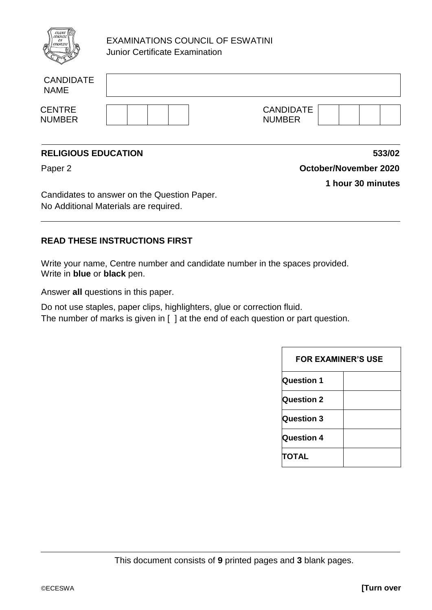

### EXAMINATIONS COUNCIL OF ESWATINI Junior Certificate Examination

| <b>CENTRE</b><br><b>NUMBER</b>  | <b>CANDIDATE</b><br><b>NUMBER</b> |  |
|---------------------------------|-----------------------------------|--|
| <b>CANDIDATE</b><br><b>NAME</b> |                                   |  |

#### **RELIGIOUS EDUCATION 533/02**

Paper 2 **October/November 2020 1 hour 30 minutes**

Candidates to answer on the Question Paper. No Additional Materials are required.

### **READ THESE INSTRUCTIONS FIRST**

Write your name, Centre number and candidate number in the spaces provided. Write in **blue** or **black** pen.

Answer **all** questions in this paper.

Do not use staples, paper clips, highlighters, glue or correction fluid. The number of marks is given in [ ] at the end of each question or part question.

| <b>FOR EXAMINER'S USE</b> |  |
|---------------------------|--|
| Question 1                |  |
| <b>Question 2</b>         |  |
| <b>Question 3</b>         |  |
| Question 4                |  |
| <b>TOTAL</b>              |  |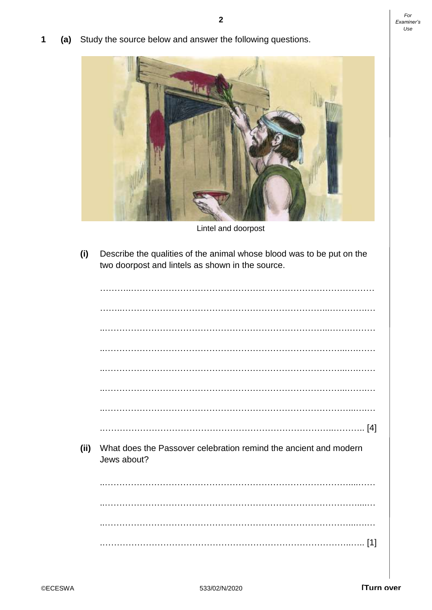**1 (a)** Study the source below and answer the following questions.



Lintel and doorpost

**(i)** Describe the qualities of the animal whose blood was to be put on the two doorpost and lintels as shown in the source.

| (ii) | What does the Passover celebration remind the ancient and modern<br>Jews about? |
|------|---------------------------------------------------------------------------------|
|      |                                                                                 |
|      |                                                                                 |
|      |                                                                                 |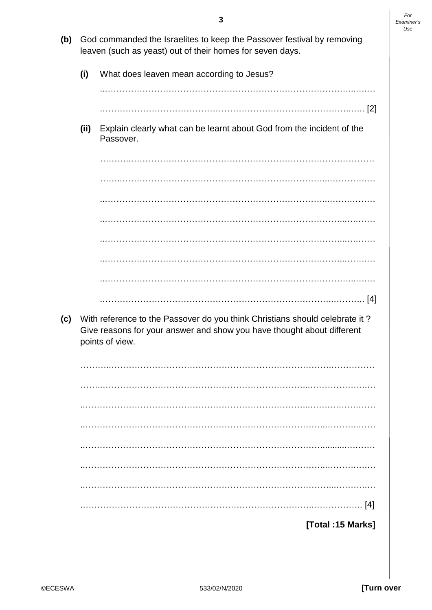|     |     | 3                                                                                                                                                                        | For<br>Examiner's |
|-----|-----|--------------------------------------------------------------------------------------------------------------------------------------------------------------------------|-------------------|
| (b) |     | God commanded the Israelites to keep the Passover festival by removing<br>leaven (such as yeast) out of their homes for seven days.                                      | Use               |
|     | (i) | What does leaven mean according to Jesus?                                                                                                                                |                   |
|     | (i) | Explain clearly what can be learnt about God from the incident of the                                                                                                    |                   |
|     |     | Passover.                                                                                                                                                                |                   |
|     |     |                                                                                                                                                                          |                   |
|     |     |                                                                                                                                                                          |                   |
|     |     |                                                                                                                                                                          |                   |
|     |     |                                                                                                                                                                          |                   |
|     |     |                                                                                                                                                                          |                   |
|     |     |                                                                                                                                                                          |                   |
| (c) |     | With reference to the Passover do you think Christians should celebrate it?<br>Give reasons for your answer and show you have thought about different<br>points of view. |                   |
|     |     |                                                                                                                                                                          |                   |
|     |     |                                                                                                                                                                          |                   |
|     |     |                                                                                                                                                                          |                   |
|     |     |                                                                                                                                                                          |                   |
|     |     |                                                                                                                                                                          |                   |
|     |     |                                                                                                                                                                          |                   |
|     |     | [4]<br>[Total :15 Marks]                                                                                                                                                 |                   |
|     |     |                                                                                                                                                                          |                   |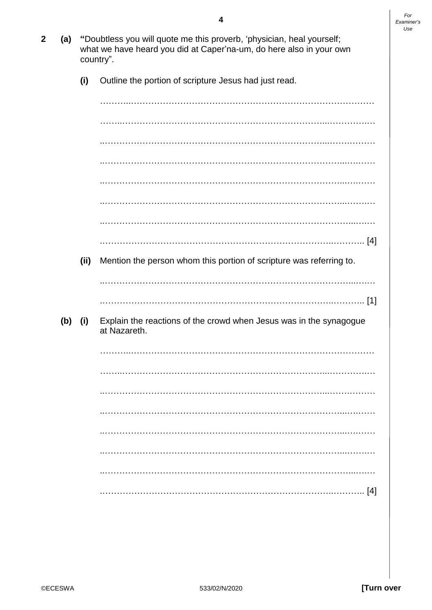**2 (a) "**Doubtless you will quote me this proverb, 'physician, heal yourself; what we have heard you did at Caper'na-um, do here also in your own country". **(i)** Outline the portion of scripture Jesus had just read. ………..………………………………………………………………………… ……..……………………………………………………………...………….… ..…………………………………………………………………...…….……… ..………………………………………………………………………...….…… ..………………………………………………………………………...….…… ..………………………………………………………………………...…….… ..…………………………………………………………………………...….… .……………………………………………………………………..……….. [4] **(ii)** Mention the person whom this portion of scripture was referring to. ..…………………………………………………………………………...….… .……………………………………………………………………..……….. [1] **(b) (i)** Explain the reactions of the crowd when Jesus was in the synagogue at Nazareth. ………..………………………………………………………………………… ……..……………………………………………………………...………….… ..…………………………………………………………………...…….……… ..………………………………………………………………………...….…… ..………………………………………………………………………...….…… ..………………………………………………………………………...…….… ..…………………………………………………………………………...….… .……………………………………………………………………..……….. [4]

*For Examiner's Use*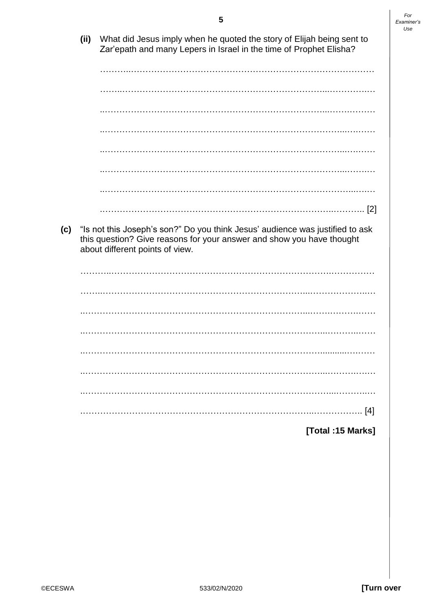

*For Examiner's Use*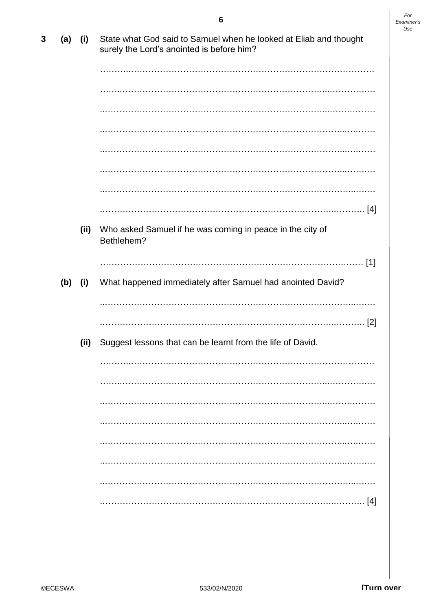| 3 | (a)       | (i)  | State what God said to Samuel when he looked at Eliab and thought<br>surely the Lord's anointed is before him? |
|---|-----------|------|----------------------------------------------------------------------------------------------------------------|
|   |           |      |                                                                                                                |
|   |           |      |                                                                                                                |
|   |           |      |                                                                                                                |
|   |           |      |                                                                                                                |
|   |           |      |                                                                                                                |
|   |           |      |                                                                                                                |
|   |           |      |                                                                                                                |
|   |           |      |                                                                                                                |
|   |           | (ii) | Who asked Samuel if he was coming in peace in the city of<br>Bethlehem?                                        |
|   |           |      |                                                                                                                |
|   | $(b)$ (i) |      | What happened immediately after Samuel had anointed David?                                                     |
|   |           |      |                                                                                                                |
|   |           |      |                                                                                                                |
|   |           |      |                                                                                                                |
|   |           | (ii) | Suggest lessons that can be learnt from the life of David.                                                     |
|   |           |      |                                                                                                                |
|   |           |      |                                                                                                                |
|   |           |      |                                                                                                                |
|   |           |      |                                                                                                                |
|   |           |      |                                                                                                                |
|   |           |      |                                                                                                                |
|   |           |      |                                                                                                                |

 $For$ 

Examiner's Use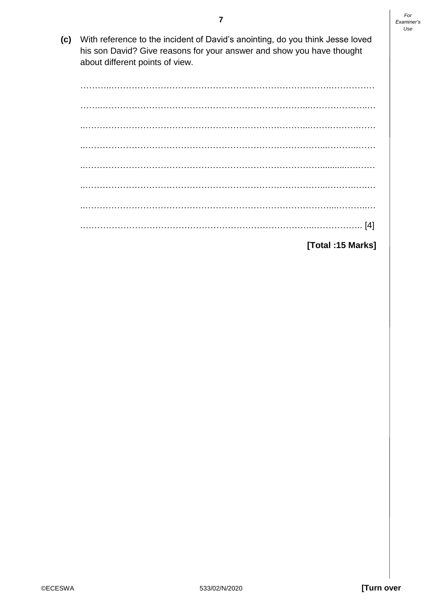- *For Examiner's Use*
- **(c)** With reference to the incident of David's anointing, do you think Jesse loved his son David? Give reasons for your answer and show you have thought about different points of view.

**7**

 $\mathcal{L}^{\text{max}}_{\text{max}}$ ……..……………………………………………………………...………………..… ..…………………………………………………………………...…….……….…… ..………………………………………………………………………...………..…… ..………………………………………………………………………...........….…… ..………………………………………………………………………...……….….… ..…………………………………………………………………………...………..… .……………………………………………………………………..…………….. [4]

 **[Total :15 Marks]**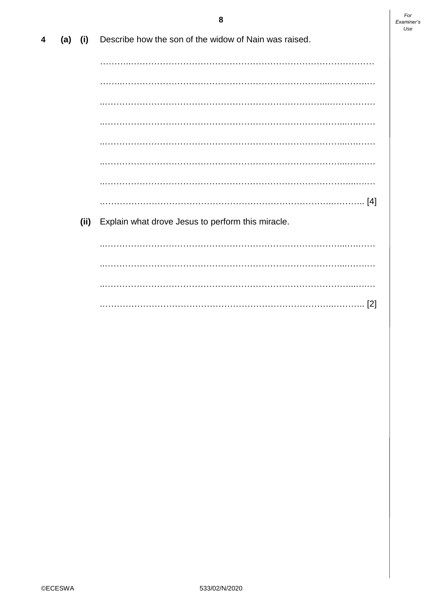Describe how the son of the widow of Nain was raised. (i)  $(a)$ (ii) Explain what drove Jesus to perform this miracle. 

 $\overline{\mathbf{4}}$ 

For Examiner's Use

533/02/N/2020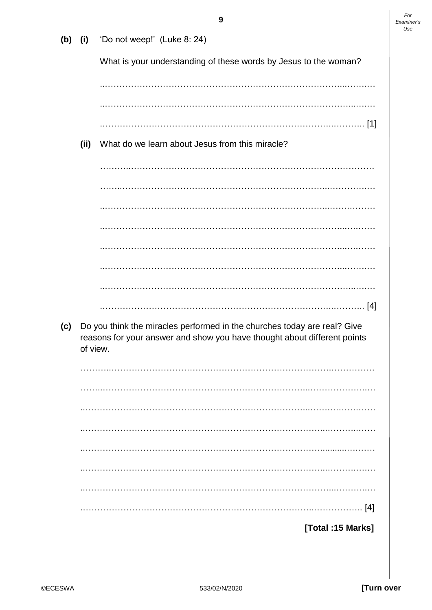| (b) | (i)      | 'Do not weep!' (Luke 8: 24)                                                                                                                          |
|-----|----------|------------------------------------------------------------------------------------------------------------------------------------------------------|
|     |          | What is your understanding of these words by Jesus to the woman?                                                                                     |
|     |          |                                                                                                                                                      |
|     |          |                                                                                                                                                      |
|     | (i)      | What do we learn about Jesus from this miracle?                                                                                                      |
|     |          |                                                                                                                                                      |
|     |          |                                                                                                                                                      |
|     |          |                                                                                                                                                      |
|     |          |                                                                                                                                                      |
|     |          |                                                                                                                                                      |
| (c) | of view. | Do you think the miracles performed in the churches today are real? Give<br>reasons for your answer and show you have thought about different points |
|     |          |                                                                                                                                                      |
|     |          |                                                                                                                                                      |
|     |          |                                                                                                                                                      |
|     |          |                                                                                                                                                      |
|     |          |                                                                                                                                                      |
|     |          |                                                                                                                                                      |
|     |          |                                                                                                                                                      |
|     |          | [Total :15 Marks]                                                                                                                                    |

 $\overline{9}$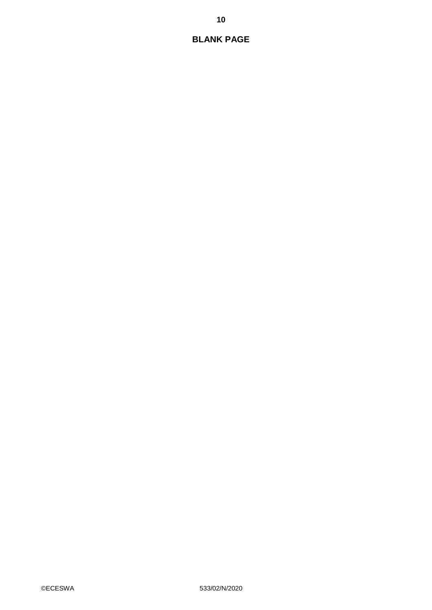## **BLANK PAGE**

**10**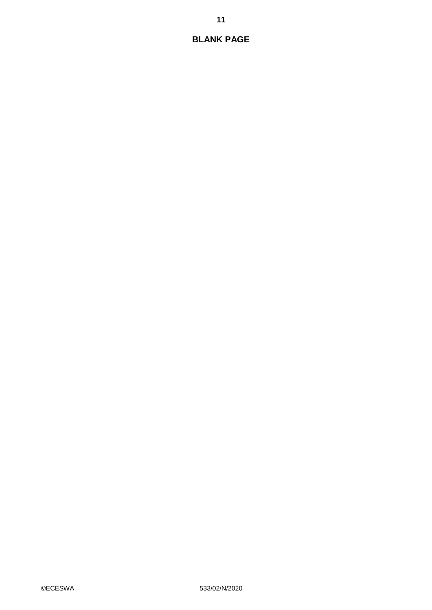# **BLANK PAGE**

 $11$